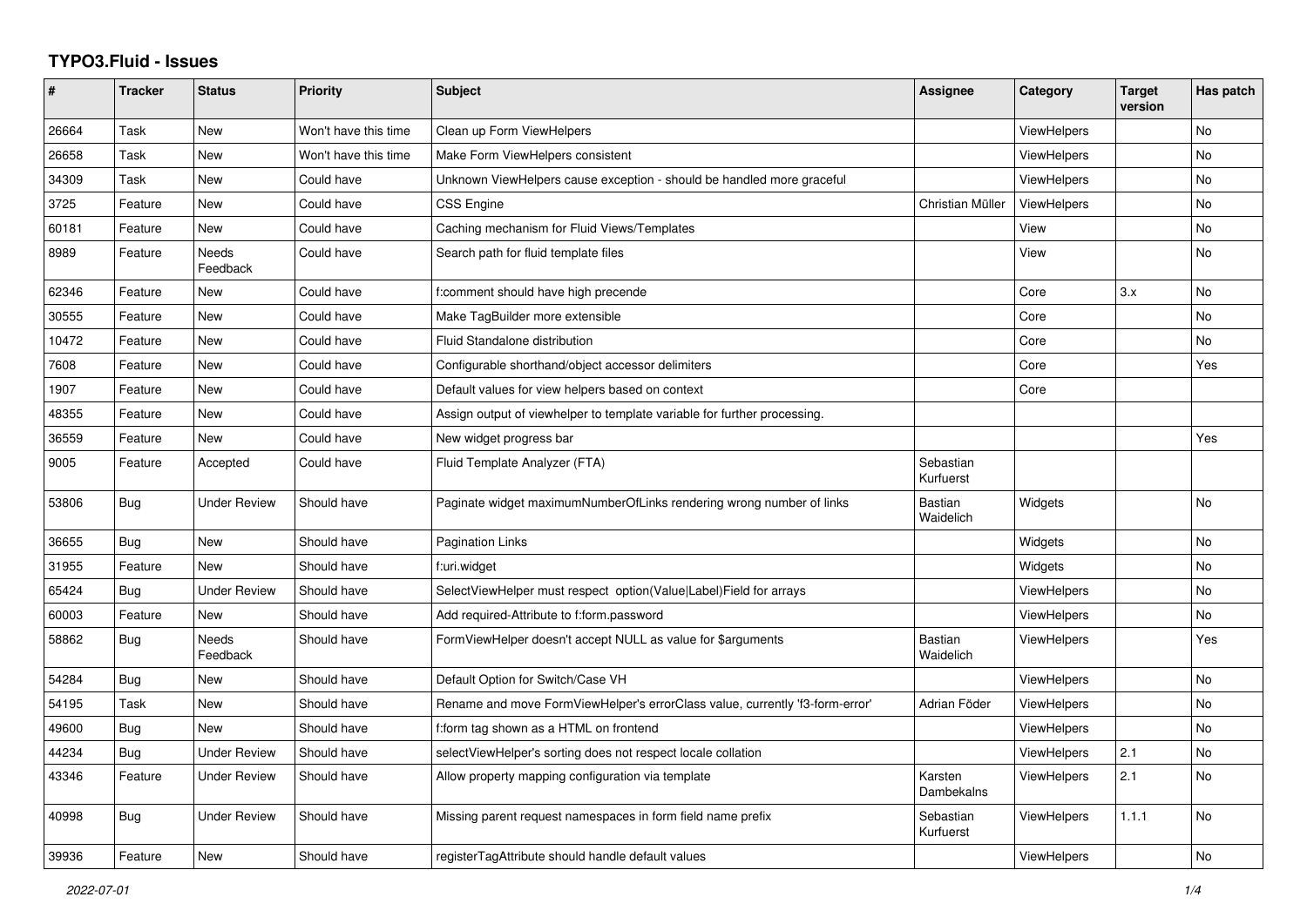## **TYPO3.Fluid - Issues**

| #     | <b>Tracker</b> | <b>Status</b>       | <b>Priority</b>      | <b>Subject</b>                                                               | Assignee               | Category           | <b>Target</b><br>version | Has patch |
|-------|----------------|---------------------|----------------------|------------------------------------------------------------------------------|------------------------|--------------------|--------------------------|-----------|
| 26664 | Task           | New                 | Won't have this time | Clean up Form ViewHelpers                                                    |                        | ViewHelpers        |                          | <b>No</b> |
| 26658 | Task           | New                 | Won't have this time | Make Form ViewHelpers consistent                                             |                        | <b>ViewHelpers</b> |                          | <b>No</b> |
| 34309 | Task           | New                 | Could have           | Unknown ViewHelpers cause exception - should be handled more graceful        |                        | ViewHelpers        |                          | <b>No</b> |
| 3725  | Feature        | New                 | Could have           | <b>CSS Engine</b>                                                            | Christian Müller       | <b>ViewHelpers</b> |                          | No        |
| 60181 | Feature        | New                 | Could have           | Caching mechanism for Fluid Views/Templates                                  |                        | View               |                          | <b>No</b> |
| 8989  | Feature        | Needs<br>Feedback   | Could have           | Search path for fluid template files                                         |                        | View               |                          | No        |
| 62346 | Feature        | <b>New</b>          | Could have           | f:comment should have high precende                                          |                        | Core               | 3.x                      | <b>No</b> |
| 30555 | Feature        | New                 | Could have           | Make TagBuilder more extensible                                              |                        | Core               |                          | No        |
| 10472 | Feature        | <b>New</b>          | Could have           | Fluid Standalone distribution                                                |                        | Core               |                          | <b>No</b> |
| 7608  | Feature        | <b>New</b>          | Could have           | Configurable shorthand/object accessor delimiters                            |                        | Core               |                          | Yes       |
| 1907  | Feature        | New                 | Could have           | Default values for view helpers based on context                             |                        | Core               |                          |           |
| 48355 | Feature        | New                 | Could have           | Assign output of viewhelper to template variable for further processing.     |                        |                    |                          |           |
| 36559 | Feature        | New                 | Could have           | New widget progress bar                                                      |                        |                    |                          | Yes       |
| 9005  | Feature        | Accepted            | Could have           | Fluid Template Analyzer (FTA)                                                | Sebastian<br>Kurfuerst |                    |                          |           |
| 53806 | Bug            | <b>Under Review</b> | Should have          | Paginate widget maximumNumberOfLinks rendering wrong number of links         | Bastian<br>Waidelich   | Widgets            |                          | <b>No</b> |
| 36655 | Bug            | <b>New</b>          | Should have          | <b>Pagination Links</b>                                                      |                        | Widgets            |                          | <b>No</b> |
| 31955 | Feature        | New                 | Should have          | f:uri.widget                                                                 |                        | Widgets            |                          | No        |
| 65424 | Bug            | <b>Under Review</b> | Should have          | SelectViewHelper must respect option(Value Label)Field for arrays            |                        | <b>ViewHelpers</b> |                          | <b>No</b> |
| 60003 | Feature        | New                 | Should have          | Add required-Attribute to f:form.password                                    |                        | <b>ViewHelpers</b> |                          | <b>No</b> |
| 58862 | Bug            | Needs<br>Feedback   | Should have          | FormViewHelper doesn't accept NULL as value for \$arguments                  | Bastian<br>Waidelich   | <b>ViewHelpers</b> |                          | Yes       |
| 54284 | Bug            | New                 | Should have          | Default Option for Switch/Case VH                                            |                        | <b>ViewHelpers</b> |                          | No        |
| 54195 | Task           | <b>New</b>          | Should have          | Rename and move FormViewHelper's errorClass value, currently 'f3-form-error' | Adrian Föder           | ViewHelpers        |                          | <b>No</b> |
| 49600 | Bug            | <b>New</b>          | Should have          | f:form tag shown as a HTML on frontend                                       |                        | <b>ViewHelpers</b> |                          | <b>No</b> |
| 44234 | Bug            | <b>Under Review</b> | Should have          | selectViewHelper's sorting does not respect locale collation                 |                        | <b>ViewHelpers</b> | 2.1                      | <b>No</b> |
| 43346 | Feature        | Under Review        | Should have          | Allow property mapping configuration via template                            | Karsten<br>Dambekalns  | <b>ViewHelpers</b> | 2.1                      | No        |
| 40998 | Bug            | <b>Under Review</b> | Should have          | Missing parent request namespaces in form field name prefix                  | Sebastian<br>Kurfuerst | <b>ViewHelpers</b> | 1.1.1                    | <b>No</b> |
| 39936 | Feature        | <b>New</b>          | Should have          | registerTagAttribute should handle default values                            |                        | ViewHelpers        |                          | <b>No</b> |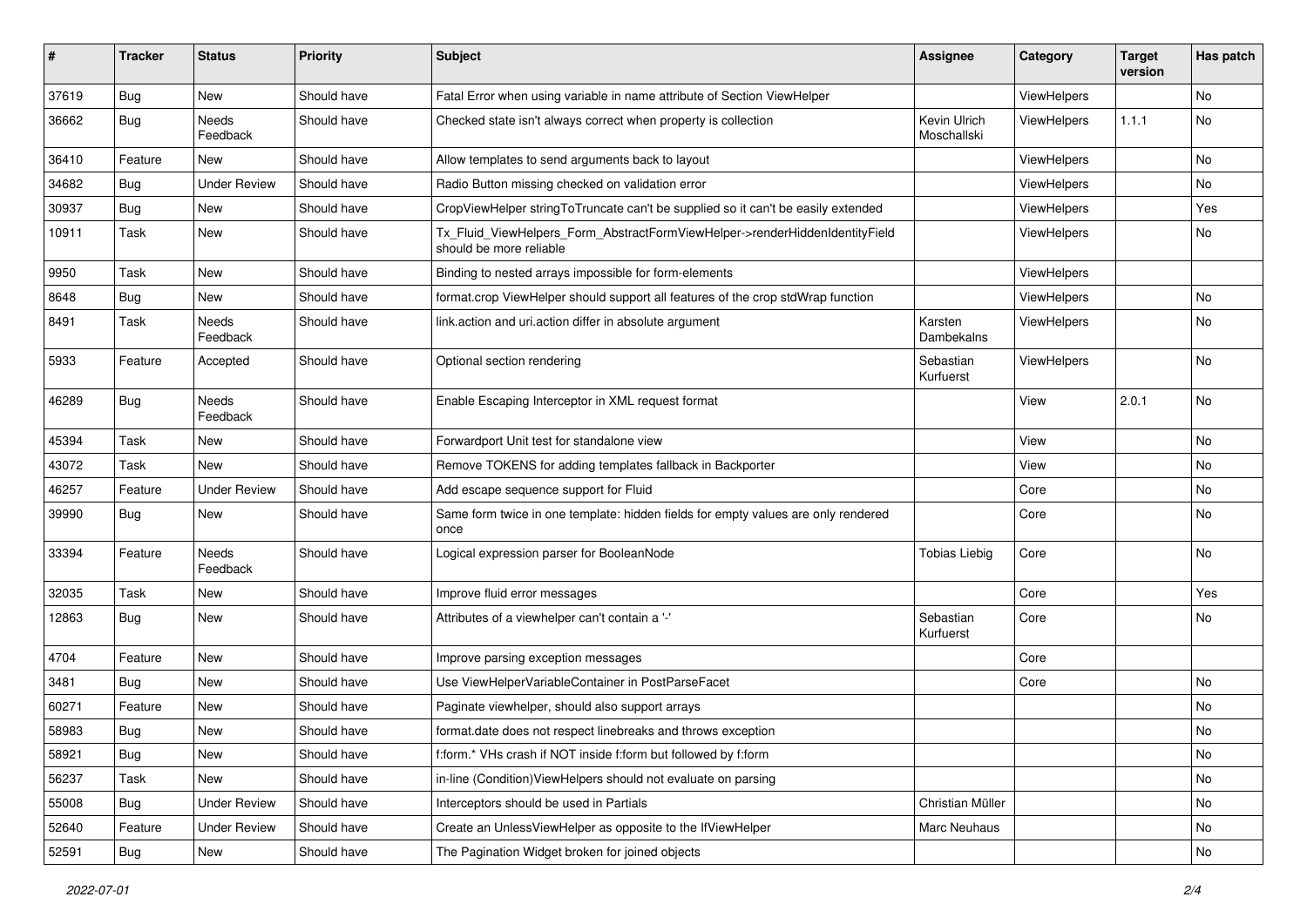| #     | <b>Tracker</b> | <b>Status</b>       | <b>Priority</b> | Subject                                                                                                | <b>Assignee</b>             | Category           | <b>Target</b><br>version | Has patch |
|-------|----------------|---------------------|-----------------|--------------------------------------------------------------------------------------------------------|-----------------------------|--------------------|--------------------------|-----------|
| 37619 | Bug            | New                 | Should have     | Fatal Error when using variable in name attribute of Section ViewHelper                                |                             | ViewHelpers        |                          | <b>No</b> |
| 36662 | Bug            | Needs<br>Feedback   | Should have     | Checked state isn't always correct when property is collection                                         | Kevin Ulrich<br>Moschallski | <b>ViewHelpers</b> | 1.1.1                    | No        |
| 36410 | Feature        | New                 | Should have     | Allow templates to send arguments back to layout                                                       |                             | ViewHelpers        |                          | <b>No</b> |
| 34682 | Bug            | <b>Under Review</b> | Should have     | Radio Button missing checked on validation error                                                       |                             | <b>ViewHelpers</b> |                          | No        |
| 30937 | Bug            | New                 | Should have     | CropViewHelper stringToTruncate can't be supplied so it can't be easily extended                       |                             | ViewHelpers        |                          | Yes       |
| 10911 | Task           | New                 | Should have     | Tx_Fluid_ViewHelpers_Form_AbstractFormViewHelper->renderHiddenIdentityField<br>should be more reliable |                             | ViewHelpers        |                          | No        |
| 9950  | Task           | New                 | Should have     | Binding to nested arrays impossible for form-elements                                                  |                             | ViewHelpers        |                          |           |
| 8648  | Bug            | New                 | Should have     | format.crop ViewHelper should support all features of the crop stdWrap function                        |                             | ViewHelpers        |                          | No        |
| 8491  | Task           | Needs<br>Feedback   | Should have     | link.action and uri.action differ in absolute argument                                                 | Karsten<br>Dambekalns       | ViewHelpers        |                          | No        |
| 5933  | Feature        | Accepted            | Should have     | Optional section rendering                                                                             | Sebastian<br>Kurfuerst      | ViewHelpers        |                          | No        |
| 46289 | Bug            | Needs<br>Feedback   | Should have     | Enable Escaping Interceptor in XML request format                                                      |                             | View               | 2.0.1                    | No        |
| 45394 | Task           | New                 | Should have     | Forwardport Unit test for standalone view                                                              |                             | View               |                          | <b>No</b> |
| 43072 | Task           | New                 | Should have     | Remove TOKENS for adding templates fallback in Backporter                                              |                             | View               |                          | No        |
| 46257 | Feature        | <b>Under Review</b> | Should have     | Add escape sequence support for Fluid                                                                  |                             | Core               |                          | No        |
| 39990 | Bug            | New                 | Should have     | Same form twice in one template: hidden fields for empty values are only rendered<br>once              |                             | Core               |                          | No        |
| 33394 | Feature        | Needs<br>Feedback   | Should have     | Logical expression parser for BooleanNode                                                              | <b>Tobias Liebig</b>        | Core               |                          | No        |
| 32035 | Task           | New                 | Should have     | Improve fluid error messages                                                                           |                             | Core               |                          | Yes       |
| 12863 | Bug            | New                 | Should have     | Attributes of a viewhelper can't contain a '-'                                                         | Sebastian<br>Kurfuerst      | Core               |                          | No        |
| 4704  | Feature        | New                 | Should have     | Improve parsing exception messages                                                                     |                             | Core               |                          |           |
| 3481  | Bug            | New                 | Should have     | Use ViewHelperVariableContainer in PostParseFacet                                                      |                             | Core               |                          | No        |
| 60271 | Feature        | New                 | Should have     | Paginate viewhelper, should also support arrays                                                        |                             |                    |                          | No        |
| 58983 | Bug            | New                 | Should have     | format.date does not respect linebreaks and throws exception                                           |                             |                    |                          | No        |
| 58921 | Bug            | New                 | Should have     | f:form.* VHs crash if NOT inside f:form but followed by f:form                                         |                             |                    |                          | No        |
| 56237 | Task           | New                 | Should have     | in-line (Condition) ViewHelpers should not evaluate on parsing                                         |                             |                    |                          | No        |
| 55008 | <b>Bug</b>     | <b>Under Review</b> | Should have     | Interceptors should be used in Partials                                                                | Christian Müller            |                    |                          | No        |
| 52640 | Feature        | <b>Under Review</b> | Should have     | Create an UnlessViewHelper as opposite to the IfViewHelper                                             | Marc Neuhaus                |                    |                          | No        |
| 52591 | Bug            | New                 | Should have     | The Pagination Widget broken for joined objects                                                        |                             |                    |                          | No        |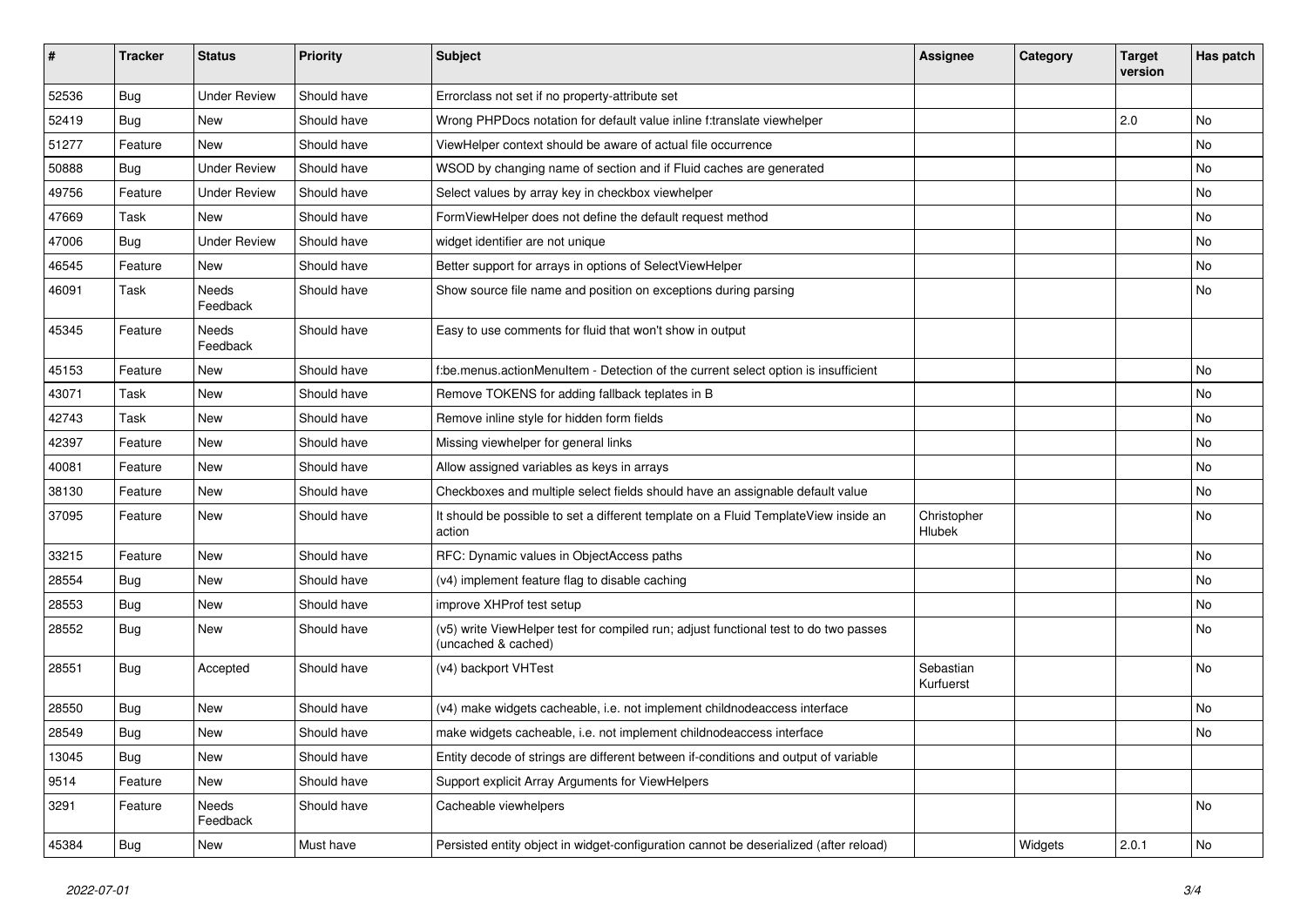| #     | <b>Tracker</b> | <b>Status</b>            | <b>Priority</b> | <b>Subject</b>                                                                                              | <b>Assignee</b>        | Category | <b>Target</b><br>version | Has patch |
|-------|----------------|--------------------------|-----------------|-------------------------------------------------------------------------------------------------------------|------------------------|----------|--------------------------|-----------|
| 52536 | Bug            | <b>Under Review</b>      | Should have     | Errorclass not set if no property-attribute set                                                             |                        |          |                          |           |
| 52419 | Bug            | New                      | Should have     | Wrong PHPDocs notation for default value inline f:translate viewhelper                                      |                        |          | 2.0                      | No        |
| 51277 | Feature        | New                      | Should have     | ViewHelper context should be aware of actual file occurrence                                                |                        |          |                          | No        |
| 50888 | Bug            | <b>Under Review</b>      | Should have     | WSOD by changing name of section and if Fluid caches are generated                                          |                        |          |                          | No        |
| 49756 | Feature        | <b>Under Review</b>      | Should have     | Select values by array key in checkbox viewhelper                                                           |                        |          |                          | No        |
| 47669 | Task           | New                      | Should have     | FormViewHelper does not define the default request method                                                   |                        |          |                          | No        |
| 47006 | Bug            | <b>Under Review</b>      | Should have     | widget identifier are not unique                                                                            |                        |          |                          | No        |
| 46545 | Feature        | New                      | Should have     | Better support for arrays in options of SelectViewHelper                                                    |                        |          |                          | No        |
| 46091 | Task           | Needs<br>Feedback        | Should have     | Show source file name and position on exceptions during parsing                                             |                        |          |                          | No        |
| 45345 | Feature        | <b>Needs</b><br>Feedback | Should have     | Easy to use comments for fluid that won't show in output                                                    |                        |          |                          |           |
| 45153 | Feature        | New                      | Should have     | f:be.menus.actionMenuItem - Detection of the current select option is insufficient                          |                        |          |                          | <b>No</b> |
| 43071 | Task           | <b>New</b>               | Should have     | Remove TOKENS for adding fallback teplates in B                                                             |                        |          |                          | <b>No</b> |
| 42743 | Task           | New                      | Should have     | Remove inline style for hidden form fields                                                                  |                        |          |                          | No        |
| 42397 | Feature        | New                      | Should have     | Missing viewhelper for general links                                                                        |                        |          |                          | No        |
| 40081 | Feature        | New                      | Should have     | Allow assigned variables as keys in arrays                                                                  |                        |          |                          | <b>No</b> |
| 38130 | Feature        | New                      | Should have     | Checkboxes and multiple select fields should have an assignable default value                               |                        |          |                          | No        |
| 37095 | Feature        | New                      | Should have     | It should be possible to set a different template on a Fluid TemplateView inside an<br>action               | Christopher<br>Hlubek  |          |                          | <b>No</b> |
| 33215 | Feature        | New                      | Should have     | RFC: Dynamic values in ObjectAccess paths                                                                   |                        |          |                          | <b>No</b> |
| 28554 | Bug            | New                      | Should have     | (v4) implement feature flag to disable caching                                                              |                        |          |                          | No        |
| 28553 | Bug            | New                      | Should have     | improve XHProf test setup                                                                                   |                        |          |                          | No        |
| 28552 | Bug            | New                      | Should have     | (v5) write ViewHelper test for compiled run; adjust functional test to do two passes<br>(uncached & cached) |                        |          |                          | No        |
| 28551 | Bug            | Accepted                 | Should have     | (v4) backport VHTest                                                                                        | Sebastian<br>Kurfuerst |          |                          | No        |
| 28550 | Bug            | <b>New</b>               | Should have     | (v4) make widgets cacheable, i.e. not implement childnodeaccess interface                                   |                        |          |                          | No        |
| 28549 | <b>Bug</b>     | New                      | Should have     | make widgets cacheable, i.e. not implement childnodeaccess interface                                        |                        |          |                          | No        |
| 13045 | <b>Bug</b>     | New                      | Should have     | Entity decode of strings are different between if-conditions and output of variable                         |                        |          |                          |           |
| 9514  | Feature        | New                      | Should have     | Support explicit Array Arguments for ViewHelpers                                                            |                        |          |                          |           |
| 3291  | Feature        | Needs<br>Feedback        | Should have     | Cacheable viewhelpers                                                                                       |                        |          |                          | No        |
| 45384 | <b>Bug</b>     | New                      | Must have       | Persisted entity object in widget-configuration cannot be deserialized (after reload)                       |                        | Widgets  | 2.0.1                    | No        |